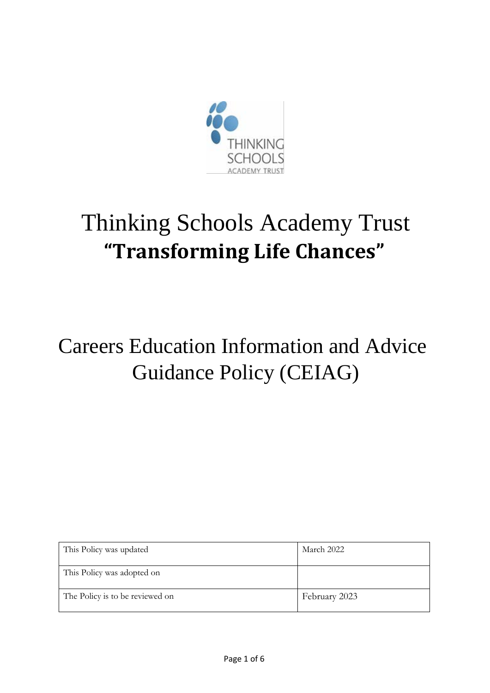

# Thinking Schools Academy Trust **"Transforming Life Chances"**

## Careers Education Information and Advice Guidance Policy (CEIAG)

| This Policy was updated         | March 2022    |  |
|---------------------------------|---------------|--|
| This Policy was adopted on      |               |  |
| The Policy is to be reviewed on | February 2023 |  |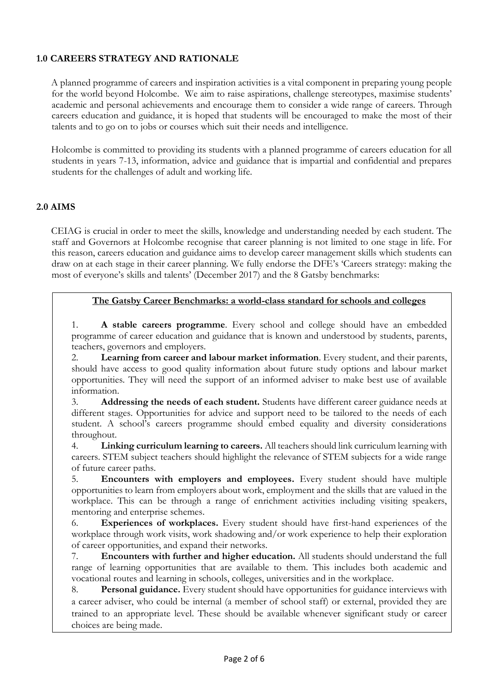#### **1.0 CAREERS STRATEGY AND RATIONALE**

A planned programme of careers and inspiration activities is a vital component in preparing young people for the world beyond Holcombe. We aim to raise aspirations, challenge stereotypes, maximise students' academic and personal achievements and encourage them to consider a wide range of careers. Through careers education and guidance, it is hoped that students will be encouraged to make the most of their talents and to go on to jobs or courses which suit their needs and intelligence.

Holcombe is committed to providing its students with a planned programme of careers education for all students in years 7-13, information, advice and guidance that is impartial and confidential and prepares students for the challenges of adult and working life.

#### **2.0 AIMS**

CEIAG is crucial in order to meet the skills, knowledge and understanding needed by each student. The staff and Governors at Holcombe recognise that career planning is not limited to one stage in life. For this reason, careers education and guidance aims to develop career management skills which students can draw on at each stage in their career planning. We fully endorse the DFE's 'Careers strategy: making the most of everyone's skills and talents' (December 2017) and the 8 Gatsby benchmarks:

#### **The Gatsby Career Benchmarks: a world-class standard for schools and colleges**

1. **A stable careers programme**. Every school and college should have an embedded programme of career education and guidance that is known and understood by students, parents, teachers, governors and employers.

2. **Learning from career and labour market information**. Every student, and their parents, should have access to good quality information about future study options and labour market opportunities. They will need the support of an informed adviser to make best use of available information.

3. **Addressing the needs of each student.** Students have different career guidance needs at different stages. Opportunities for advice and support need to be tailored to the needs of each student. A school's careers programme should embed equality and diversity considerations throughout.

4. **Linking curriculum learning to careers.** All teachers should link curriculum learning with careers. STEM subject teachers should highlight the relevance of STEM subjects for a wide range of future career paths.

5. **Encounters with employers and employees.** Every student should have multiple opportunities to learn from employers about work, employment and the skills that are valued in the workplace. This can be through a range of enrichment activities including visiting speakers, mentoring and enterprise schemes.

6. **Experiences of workplaces.** Every student should have first-hand experiences of the workplace through work visits, work shadowing and/or work experience to help their exploration of career opportunities, and expand their networks.

7. **Encounters with further and higher education.** All students should understand the full range of learning opportunities that are available to them. This includes both academic and vocational routes and learning in schools, colleges, universities and in the workplace.

8. **Personal guidance.** Every student should have opportunities for guidance interviews with a career adviser, who could be internal (a member of school staff) or external, provided they are trained to an appropriate level. These should be available whenever significant study or career choices are being made.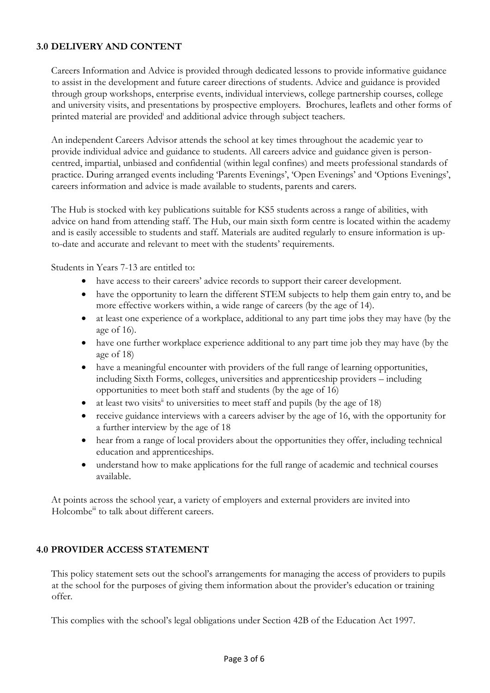#### **3.0 DELIVERY AND CONTENT**

Careers Information and Advice is provided through dedicated lessons to provide informative guidance to assist in the development and future career directions of students. Advice and guidance is provided through group workshops, enterprise events, individual interviews, college partnership courses, college and university visits, and presentations by prospective employers. Brochures, leaflets and other forms of printed material are provided and additional advice through subject teachers.

An independent Careers Advisor attends the school at key times throughout the academic year to provide individual advice and guidance to students. All careers advice and guidance given is personcentred, impartial, unbiased and confidential (within legal confines) and meets professional standards of practice. During arranged events including 'Parents Evenings', 'Open Evenings' and 'Options Evenings', careers information and advice is made available to students, parents and carers.

The Hub is stocked with key publications suitable for KS5 students across a range of abilities, with advice on hand from attending staff. The Hub, our main sixth form centre is located within the academy and is easily accessible to students and staff. Materials are audited regularly to ensure information is upto-date and accurate and relevant to meet with the students' requirements.

Students in Years 7-13 are entitled to:

- have access to their careers' advice records to support their career development.
- have the opportunity to learn the different STEM subjects to help them gain entry to, and be more effective workers within, a wide range of careers (by the age of 14).
- at least one experience of a workplace, additional to any part time jobs they may have (by the age of 16).
- have one further workplace experience additional to any part time job they may have (by the age of 18)
- have a meaningful encounter with providers of the full range of learning opportunities, including Sixth Forms, colleges, universities and apprenticeship providers – including opportunities to meet both staff and students (by the age of 16)
- at least two visits<sup> $\ddot{u}$ </sup> to universities to meet staff and pupils (by the age of 18)
- receive guidance interviews with a careers adviser by the age of 16, with the opportunity for a further interview by the age of 18
- hear from a range of local providers about the opportunities they offer, including technical education and apprenticeships.
- understand how to make applications for the full range of academic and technical courses available.

At points across the school year, a variety of employers and external providers are invited into Holcombe<sup>iii</sup> to talk about different careers.

#### **4.0 PROVIDER ACCESS STATEMENT**

This policy statement sets out the school's arrangements for managing the access of providers to pupils at the school for the purposes of giving them information about the provider's education or training offer.

This complies with the school's legal obligations under Section 42B of the Education Act 1997.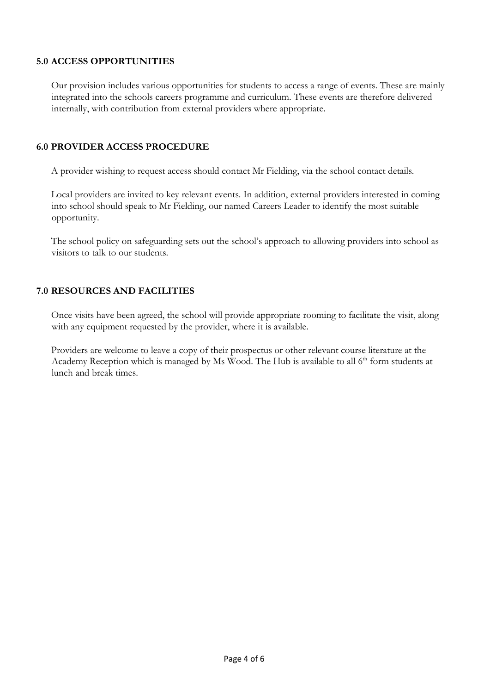#### **5.0 ACCESS OPPORTUNITIES**

Our provision includes various opportunities for students to access a range of events. These are mainly integrated into the schools careers programme and curriculum. These events are therefore delivered internally, with contribution from external providers where appropriate.

#### **6.0 PROVIDER ACCESS PROCEDURE**

A provider wishing to request access should contact Mr Fielding, via the school contact details.

Local providers are invited to key relevant events. In addition, external providers interested in coming into school should speak to Mr Fielding, our named Careers Leader to identify the most suitable opportunity.

The school policy on safeguarding sets out the school's approach to allowing providers into school as visitors to talk to our students.

#### **7.0 RESOURCES AND FACILITIES**

Once visits have been agreed, the school will provide appropriate rooming to facilitate the visit, along with any equipment requested by the provider, where it is available.

Providers are welcome to leave a copy of their prospectus or other relevant course literature at the Academy Reception which is managed by Ms Wood. The Hub is available to all  $6<sup>th</sup>$  form students at lunch and break times.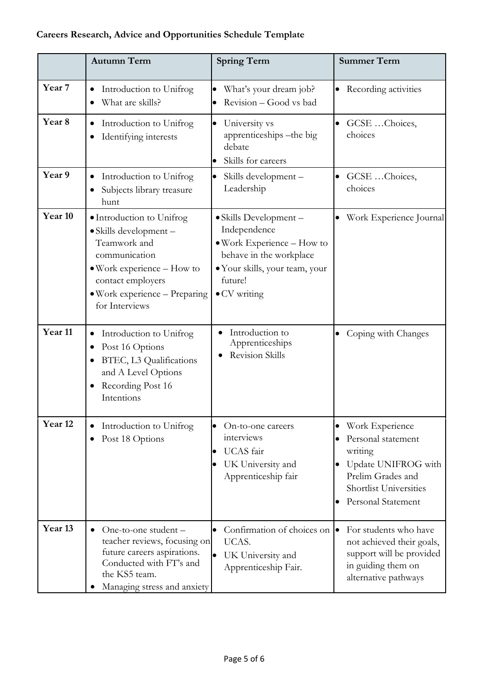### **Careers Research, Advice and Opportunities Schedule Template**

|                    | <b>Autumn Term</b>                                                                                                                                                                                           | <b>Spring Term</b>                                                                                                                                                             | <b>Summer Term</b>                                                                                                                           |
|--------------------|--------------------------------------------------------------------------------------------------------------------------------------------------------------------------------------------------------------|--------------------------------------------------------------------------------------------------------------------------------------------------------------------------------|----------------------------------------------------------------------------------------------------------------------------------------------|
| Year <sub>7</sub>  | Introduction to Unifrog<br>٠<br>What are skills?<br>$\bullet$                                                                                                                                                | What's your dream job?<br>Revision - Good vs bad<br>$\bullet$                                                                                                                  | Recording activities<br>$\bullet$                                                                                                            |
| Year <sub>8</sub>  | Introduction to Unifrog<br>$\bullet$<br>Identifying interests                                                                                                                                                | University vs<br>$\bullet$<br>apprenticeships - the big<br>debate<br>Skills for careers<br>$\bullet$                                                                           | • GCSE Choices,<br>choices                                                                                                                   |
| Year 9             | Introduction to Unifrog<br>$\bullet$<br>Subjects library treasure<br>hunt                                                                                                                                    | Skills development -<br>$\bullet$<br>Leadership                                                                                                                                | GCSE Choices,<br>$\bullet$<br>choices                                                                                                        |
| Year 10            | · Introduction to Unifrog<br>· Skills development -<br>Teamwork and<br>communication<br>$\bullet$ Work experience $-$ How to<br>contact employers<br>$\bullet$ Work experience – Preparing<br>for Interviews | • Skills Development -<br>Independence<br>$\bullet$ Work Experience $-$ How to<br>behave in the workplace<br>• Your skills, your team, your<br>future!<br>$\bullet$ CV writing | Work Experience Journal                                                                                                                      |
| Year <sub>11</sub> | Introduction to Unifrog<br>Post 16 Options<br>BTEC, L3 Qualifications<br>and A Level Options<br>Recording Post 16<br>Intentions                                                                              | Introduction to<br>Apprenticeships<br><b>Revision Skills</b>                                                                                                                   | Coping with Changes                                                                                                                          |
| Year <sub>12</sub> | Introduction to Unifrog<br>$\bullet$<br>Post 18 Options                                                                                                                                                      | On-to-one careers<br>$\bullet$<br>interviews<br>UCAS fair<br>$\bullet$<br>UK University and<br>lo<br>Apprenticeship fair                                                       | Work Experience<br>Personal statement<br>writing<br>Update UNIFROG with<br>Prelim Grades and<br>Shortlist Universities<br>Personal Statement |
| Year <sub>13</sub> | One-to-one student -<br>$\bullet$<br>teacher reviews, focusing on<br>future careers aspirations.<br>Conducted with FT's and<br>the KS5 team.<br>Managing stress and anxiety                                  | Confirmation of choices on $\bullet$<br>$\bullet$<br>UCAS.<br>UK University and<br>$\bullet$<br>Apprenticeship Fair.                                                           | For students who have<br>not achieved their goals,<br>support will be provided<br>in guiding them on<br>alternative pathways                 |